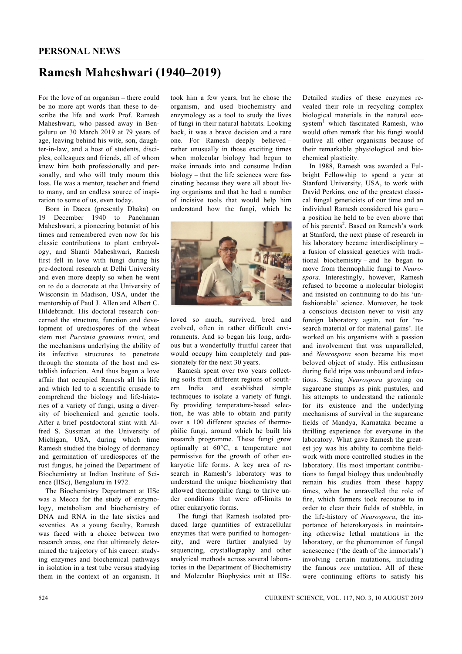## **Ramesh Maheshwari (1940–2019)**

For the love of an organism – there could be no more apt words than these to describe the life and work Prof. Ramesh Maheshwari, who passed away in Bengaluru on 30 March 2019 at 79 years of age, leaving behind his wife, son, daughter-in-law, and a host of students, disciples, colleagues and friends, all of whom knew him both professionally and personally, and who will truly mourn this loss. He was a mentor, teacher and friend to many, and an endless source of inspiration to some of us, even today.

 Born in Dacca (presently Dhaka) on 19 December 1940 to Panchanan Maheshwari, a pioneering botanist of his times and remembered even now for his classic contributions to plant embryology, and Shanti Maheshwari, Ramesh first fell in love with fungi during his pre-doctoral research at Delhi University and even more deeply so when he went on to do a doctorate at the University of Wisconsin in Madison, USA, under the mentorship of Paul J. Allen and Albert C. Hildebrandt. His doctoral research concerned the structure, function and development of urediospores of the wheat stem rust *Puccinia graminis tritici*, and the mechanisms underlying the ability of its infective structures to penetrate through the stomata of the host and establish infection. And thus began a love affair that occupied Ramesh all his life and which led to a scientific crusade to comprehend the biology and life-histories of a variety of fungi, using a diversity of biochemical and genetic tools. After a brief postdoctoral stint with Alfred S. Sussman at the University of Michigan, USA, during which time Ramesh studied the biology of dormancy and germination of urediospores of the rust fungus, he joined the Department of Biochemistry at Indian Institute of Science (IISc), Bengaluru in 1972.

 The Biochemistry Department at IISc was a Mecca for the study of enzymology, metabolism and biochemistry of DNA and RNA in the late sixties and seventies. As a young faculty, Ramesh was faced with a choice between two research areas, one that ultimately determined the trajectory of his career: studying enzymes and biochemical pathways in isolation in a test tube versus studying them in the context of an organism. It

took him a few years, but he chose the organism, and used biochemistry and enzymology as a tool to study the lives of fungi in their natural habitats. Looking back, it was a brave decision and a rare one. For Ramesh deeply believed – rather unusually in those exciting times when molecular biology had begun to make inroads into and consume Indian biology – that the life sciences were fascinating because they were all about living organisms and that he had a number of incisive tools that would help him understand how the fungi, which he



loved so much, survived, bred and evolved, often in rather difficult environments. And so began his long, arduous but a wonderfully fruitful career that would occupy him completely and passionately for the next 30 years.

 Ramesh spent over two years collecting soils from different regions of southern India and established simple techniques to isolate a variety of fungi. By providing temperature-based selection, he was able to obtain and purify over a 100 different species of thermophilic fungi, around which he built his research programme. These fungi grew optimally at 60°C, a temperature not permissive for the growth of other eukaryotic life forms. A key area of research in Ramesh's laboratory was to understand the unique biochemistry that allowed thermophilic fungi to thrive under conditions that were off-limits to other eukaryotic forms.

 The fungi that Ramesh isolated produced large quantities of extracellular enzymes that were purified to homogeneity, and were further analysed by sequencing, crystallography and other analytical methods across several laboratories in the Department of Biochemistry and Molecular Biophysics unit at IISc.

Detailed studies of these enzymes revealed their role in recycling complex biological materials in the natural ecosystem<sup>1</sup> which fascinated Ramesh, who would often remark that his fungi would outlive all other organisms because of their remarkable physiological and biochemical plasticity.

 In 1988, Ramesh was awarded a Fulbright Fellowship to spend a year at Stanford University, USA, to work with David Perkins, one of the greatest classical fungal geneticists of our time and an individual Ramesh considered his guru – a position he held to be even above that of his parents<sup>2</sup>. Based on Ramesh's work at Stanford, the next phase of research in his laboratory became interdisciplinary – a fusion of classical genetics with traditional biochemistry – and he began to move from thermophilic fungi to *Neurospora*. Interestingly, however, Ramesh refused to become a molecular biologist and insisted on continuing to do his 'unfashionable' science. Moreover, he took a conscious decision never to visit any foreign laboratory again, not for 'research material or for material gains'. He worked on his organisms with a passion and involvement that was unparalleled, and *Neurospora* soon became his most beloved object of study. His enthusiasm during field trips was unbound and infectious. Seeing *Neurospora* growing on sugarcane stumps as pink pustules, and his attempts to understand the rationale for its existence and the underlying mechanisms of survival in the sugarcane fields of Mandya, Karnataka became a thrilling experience for everyone in the laboratory. What gave Ramesh the greatest joy was his ability to combine fieldwork with more controlled studies in the laboratory. His most important contributions to fungal biology thus undoubtedly remain his studies from these happy times, when he unravelled the role of fire, which farmers took recourse to in order to clear their fields of stubble, in the life-history of *Neurospora*, the importance of heterokaryosis in maintaining otherwise lethal mutations in the laboratory, or the phenomenon of fungal senescence ('the death of the immortals') involving certain mutations, including the famous *sen* mutation. All of these were continuing efforts to satisfy his